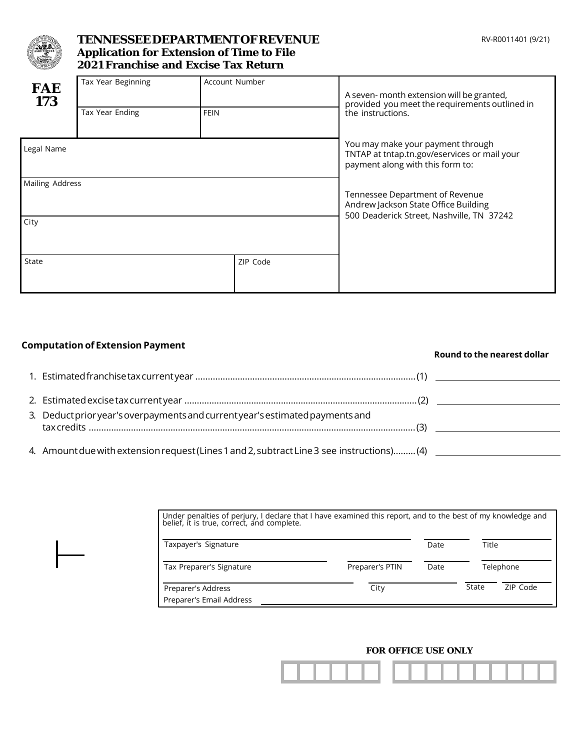

## **TENNESSEEDEPARTMENTOFREVENUE Application for Extension of Time to File 2021 Franchise and Excise Tax Return**

| <b>FAE</b><br>173 | Tax Year Beginning<br>Tax Year Ending | Account Number<br><b>FEIN</b> | A seven- month extension will be granted,<br>provided you meet the requirements outlined in<br>the instructions.     |
|-------------------|---------------------------------------|-------------------------------|----------------------------------------------------------------------------------------------------------------------|
| Legal Name        |                                       |                               | You may make your payment through                                                                                    |
| Mailing Address   |                                       |                               | TNTAP at tntap.tn.gov/eservices or mail your<br>payment along with this form to:                                     |
|                   |                                       |                               | Tennessee Department of Revenue<br>Andrew Jackson State Office Building<br>500 Deaderick Street, Nashville, TN 37242 |
| City              |                                       |                               |                                                                                                                      |
| State             |                                       | ZIP Code                      |                                                                                                                      |

#### **Computationof Extension Payment**

|                                                                               | Round to the nearest dollar |
|-------------------------------------------------------------------------------|-----------------------------|
|                                                                               |                             |
|                                                                               |                             |
| 3. Deduct prior year's overpayments and current year's estimated payments and |                             |
|                                                                               |                             |

| Under penalties of perjury, I declare that I have examined this report, and to the best of my knowledge and belief, it is true, correct, and complete. |                 |      |       |           |  |  |
|--------------------------------------------------------------------------------------------------------------------------------------------------------|-----------------|------|-------|-----------|--|--|
| Taxpayer's Signature                                                                                                                                   |                 | Date | Title |           |  |  |
| Tax Preparer's Signature                                                                                                                               | Preparer's PTIN | Date |       | Telephone |  |  |
| Preparer's Address<br>Preparer's Email Address                                                                                                         | City            |      | State | ZIP Code  |  |  |

#### **FOR OFFICE USE ONLY**